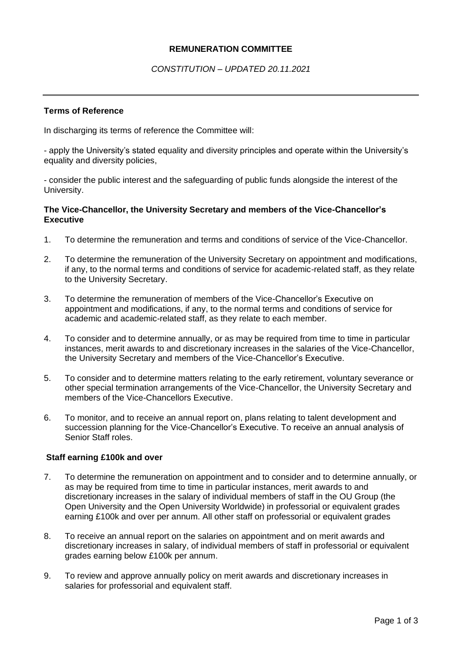## **REMUNERATION COMMITTEE**

# *CONSTITUTION – UPDATED 20.11.2021*

#### **Terms of Reference**

In discharging its terms of reference the Committee will:

- apply the University's stated equality and diversity principles and operate within the University's equality and diversity policies,

- consider the public interest and the safeguarding of public funds alongside the interest of the University.

## **The Vice-Chancellor, the University Secretary and members of the Vice-Chancellor's Executive**

- 1. To determine the remuneration and terms and conditions of service of the Vice-Chancellor.
- 2. To determine the remuneration of the University Secretary on appointment and modifications, if any, to the normal terms and conditions of service for academic-related staff, as they relate to the University Secretary.
- 3. To determine the remuneration of members of the Vice-Chancellor's Executive on appointment and modifications, if any, to the normal terms and conditions of service for academic and academic-related staff, as they relate to each member.
- 4. To consider and to determine annually, or as may be required from time to time in particular instances, merit awards to and discretionary increases in the salaries of the Vice-Chancellor, the University Secretary and members of the Vice-Chancellor's Executive.
- 5. To consider and to determine matters relating to the early retirement, voluntary severance or other special termination arrangements of the Vice-Chancellor, the University Secretary and members of the Vice-Chancellors Executive.
- 6. To monitor, and to receive an annual report on, plans relating to talent development and succession planning for the Vice-Chancellor's Executive. To receive an annual analysis of Senior Staff roles.

#### **Staff earning £100k and over**

- 7. To determine the remuneration on appointment and to consider and to determine annually, or as may be required from time to time in particular instances, merit awards to and discretionary increases in the salary of individual members of staff in the OU Group (the Open University and the Open University Worldwide) in professorial or equivalent grades earning £100k and over per annum. All other staff on professorial or equivalent grades
- 8. To receive an annual report on the salaries on appointment and on merit awards and discretionary increases in salary, of individual members of staff in professorial or equivalent grades earning below £100k per annum.
- 9. To review and approve annually policy on merit awards and discretionary increases in salaries for professorial and equivalent staff.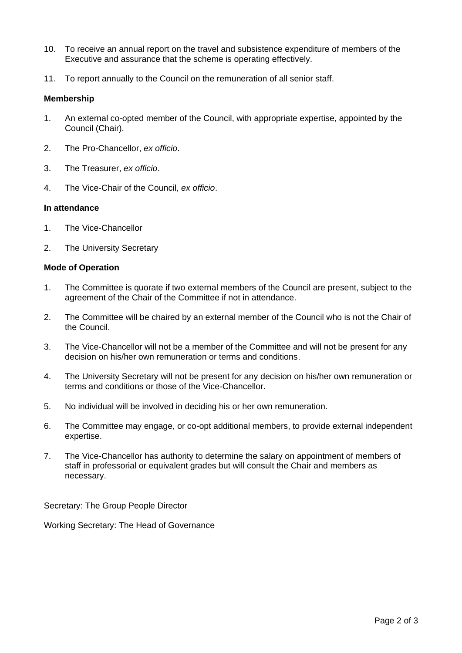- 10. To receive an annual report on the travel and subsistence expenditure of members of the Executive and assurance that the scheme is operating effectively.
- 11. To report annually to the Council on the remuneration of all senior staff.

## **Membership**

- 1. An external co-opted member of the Council, with appropriate expertise, appointed by the Council (Chair).
- 2. The Pro-Chancellor, *ex officio*.
- 3. The Treasurer, *ex officio*.
- 4. The Vice-Chair of the Council, *ex officio*.

## **In attendance**

- 1. The Vice-Chancellor
- 2. The University Secretary

## **Mode of Operation**

- 1. The Committee is quorate if two external members of the Council are present, subject to the agreement of the Chair of the Committee if not in attendance.
- 2. The Committee will be chaired by an external member of the Council who is not the Chair of the Council.
- 3. The Vice-Chancellor will not be a member of the Committee and will not be present for any decision on his/her own remuneration or terms and conditions.
- 4. The University Secretary will not be present for any decision on his/her own remuneration or terms and conditions or those of the Vice-Chancellor.
- 5. No individual will be involved in deciding his or her own remuneration.
- 6. The Committee may engage, or co-opt additional members, to provide external independent expertise.
- 7. The Vice-Chancellor has authority to determine the salary on appointment of members of staff in professorial or equivalent grades but will consult the Chair and members as necessary.

Secretary: The Group People Director

Working Secretary: The Head of Governance